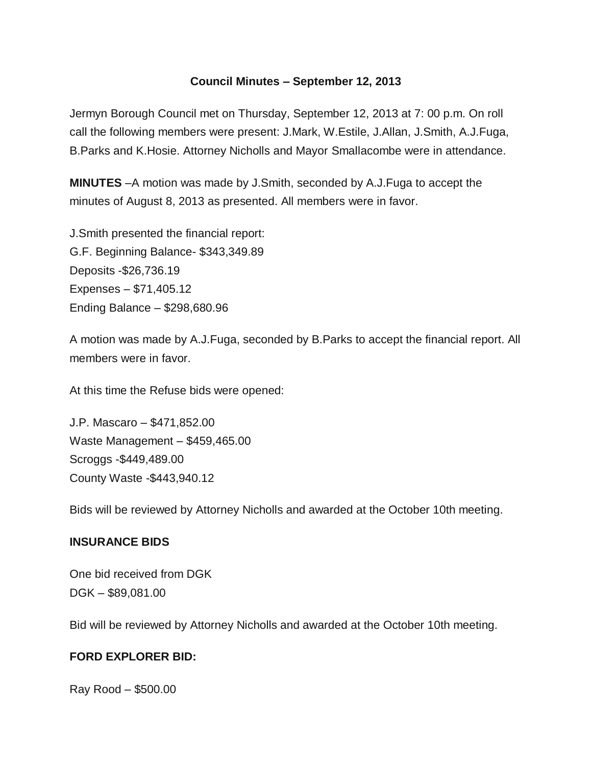## **Council Minutes – September 12, 2013**

Jermyn Borough Council met on Thursday, September 12, 2013 at 7: 00 p.m. On roll call the following members were present: J.Mark, W.Estile, J.Allan, J.Smith, A.J.Fuga, B.Parks and K.Hosie. Attorney Nicholls and Mayor Smallacombe were in attendance.

**MINUTES** –A motion was made by J.Smith, seconded by A.J.Fuga to accept the minutes of August 8, 2013 as presented. All members were in favor.

J.Smith presented the financial report: G.F. Beginning Balance- \$343,349.89 Deposits -\$26,736.19 Expenses – \$71,405.12 Ending Balance – \$298,680.96

A motion was made by A.J.Fuga, seconded by B.Parks to accept the financial report. All members were in favor.

At this time the Refuse bids were opened:

J.P. Mascaro – \$471,852.00 Waste Management – \$459,465.00 Scroggs -\$449,489.00 County Waste -\$443,940.12

Bids will be reviewed by Attorney Nicholls and awarded at the October 10th meeting.

## **INSURANCE BIDS**

One bid received from DGK DGK – \$89,081.00

Bid will be reviewed by Attorney Nicholls and awarded at the October 10th meeting.

## **FORD EXPLORER BID:**

Ray Rood – \$500.00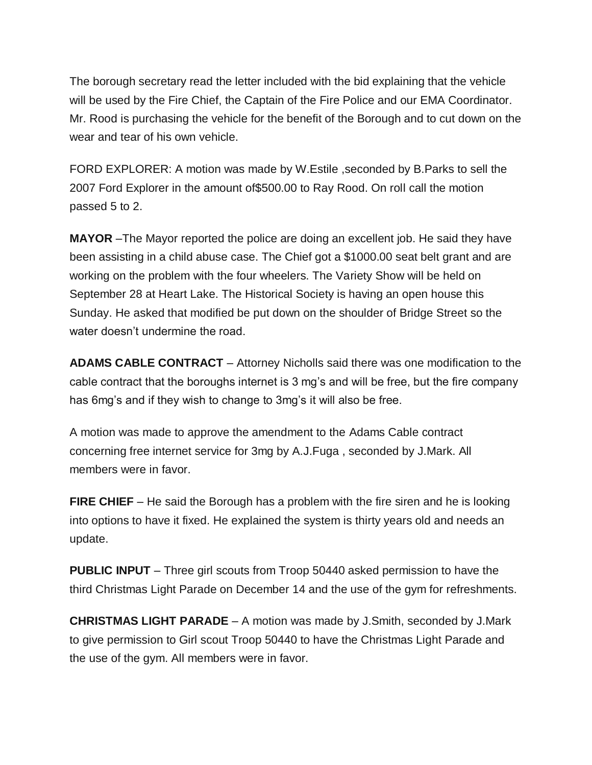The borough secretary read the letter included with the bid explaining that the vehicle will be used by the Fire Chief, the Captain of the Fire Police and our EMA Coordinator. Mr. Rood is purchasing the vehicle for the benefit of the Borough and to cut down on the wear and tear of his own vehicle.

FORD EXPLORER: A motion was made by W.Estile ,seconded by B.Parks to sell the 2007 Ford Explorer in the amount of\$500.00 to Ray Rood. On roll call the motion passed 5 to 2.

**MAYOR** –The Mayor reported the police are doing an excellent job. He said they have been assisting in a child abuse case. The Chief got a \$1000.00 seat belt grant and are working on the problem with the four wheelers. The Variety Show will be held on September 28 at Heart Lake. The Historical Society is having an open house this Sunday. He asked that modified be put down on the shoulder of Bridge Street so the water doesn't undermine the road.

**ADAMS CABLE CONTRACT** – Attorney Nicholls said there was one modification to the cable contract that the boroughs internet is 3 mg's and will be free, but the fire company has 6mg's and if they wish to change to 3mg's it will also be free.

A motion was made to approve the amendment to the Adams Cable contract concerning free internet service for 3mg by A.J.Fuga , seconded by J.Mark. All members were in favor.

**FIRE CHIEF** – He said the Borough has a problem with the fire siren and he is looking into options to have it fixed. He explained the system is thirty years old and needs an update.

**PUBLIC INPUT** – Three girl scouts from Troop 50440 asked permission to have the third Christmas Light Parade on December 14 and the use of the gym for refreshments.

**CHRISTMAS LIGHT PARADE** – A motion was made by J.Smith, seconded by J.Mark to give permission to Girl scout Troop 50440 to have the Christmas Light Parade and the use of the gym. All members were in favor.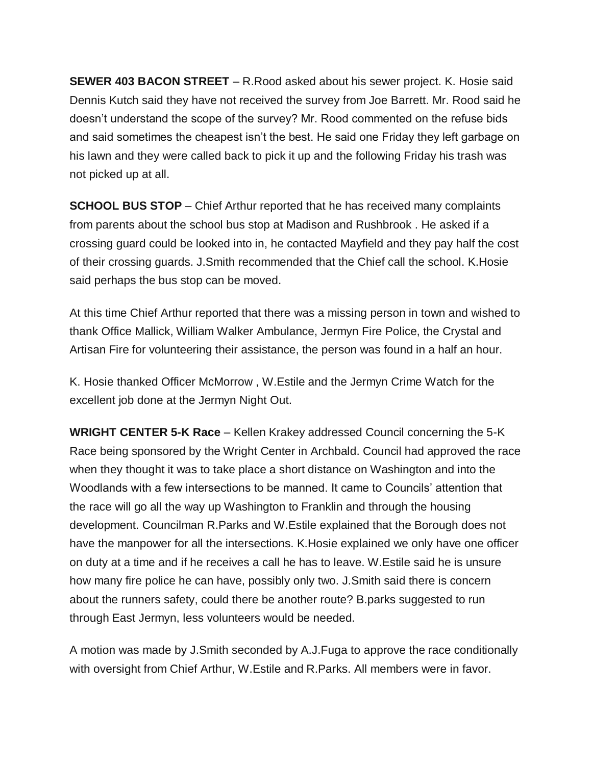**SEWER 403 BACON STREET** – R.Rood asked about his sewer project. K. Hosie said Dennis Kutch said they have not received the survey from Joe Barrett. Mr. Rood said he doesn't understand the scope of the survey? Mr. Rood commented on the refuse bids and said sometimes the cheapest isn't the best. He said one Friday they left garbage on his lawn and they were called back to pick it up and the following Friday his trash was not picked up at all.

**SCHOOL BUS STOP** – Chief Arthur reported that he has received many complaints from parents about the school bus stop at Madison and Rushbrook . He asked if a crossing guard could be looked into in, he contacted Mayfield and they pay half the cost of their crossing guards. J.Smith recommended that the Chief call the school. K.Hosie said perhaps the bus stop can be moved.

At this time Chief Arthur reported that there was a missing person in town and wished to thank Office Mallick, William Walker Ambulance, Jermyn Fire Police, the Crystal and Artisan Fire for volunteering their assistance, the person was found in a half an hour.

K. Hosie thanked Officer McMorrow , W.Estile and the Jermyn Crime Watch for the excellent job done at the Jermyn Night Out.

**WRIGHT CENTER 5-K Race** – Kellen Krakey addressed Council concerning the 5-K Race being sponsored by the Wright Center in Archbald. Council had approved the race when they thought it was to take place a short distance on Washington and into the Woodlands with a few intersections to be manned. It came to Councils' attention that the race will go all the way up Washington to Franklin and through the housing development. Councilman R.Parks and W.Estile explained that the Borough does not have the manpower for all the intersections. K.Hosie explained we only have one officer on duty at a time and if he receives a call he has to leave. W.Estile said he is unsure how many fire police he can have, possibly only two. J.Smith said there is concern about the runners safety, could there be another route? B.parks suggested to run through East Jermyn, less volunteers would be needed.

A motion was made by J.Smith seconded by A.J.Fuga to approve the race conditionally with oversight from Chief Arthur, W.Estile and R.Parks. All members were in favor.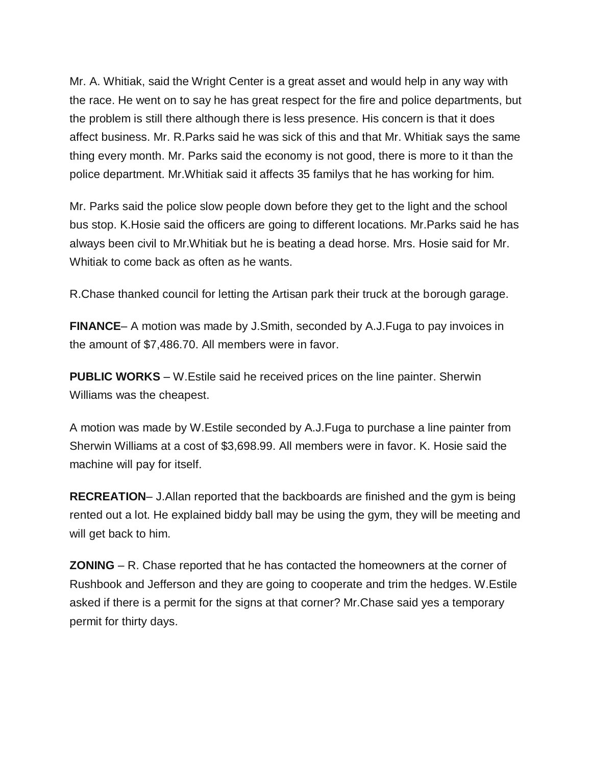Mr. A. Whitiak, said the Wright Center is a great asset and would help in any way with the race. He went on to say he has great respect for the fire and police departments, but the problem is still there although there is less presence. His concern is that it does affect business. Mr. R.Parks said he was sick of this and that Mr. Whitiak says the same thing every month. Mr. Parks said the economy is not good, there is more to it than the police department. Mr.Whitiak said it affects 35 familys that he has working for him.

Mr. Parks said the police slow people down before they get to the light and the school bus stop. K.Hosie said the officers are going to different locations. Mr.Parks said he has always been civil to Mr.Whitiak but he is beating a dead horse. Mrs. Hosie said for Mr. Whitiak to come back as often as he wants.

R.Chase thanked council for letting the Artisan park their truck at the borough garage.

**FINANCE**– A motion was made by J.Smith, seconded by A.J.Fuga to pay invoices in the amount of \$7,486.70. All members were in favor.

**PUBLIC WORKS** – W.Estile said he received prices on the line painter. Sherwin Williams was the cheapest.

A motion was made by W.Estile seconded by A.J.Fuga to purchase a line painter from Sherwin Williams at a cost of \$3,698.99. All members were in favor. K. Hosie said the machine will pay for itself.

**RECREATION**– J.Allan reported that the backboards are finished and the gym is being rented out a lot. He explained biddy ball may be using the gym, they will be meeting and will get back to him.

**ZONING** – R. Chase reported that he has contacted the homeowners at the corner of Rushbook and Jefferson and they are going to cooperate and trim the hedges. W.Estile asked if there is a permit for the signs at that corner? Mr.Chase said yes a temporary permit for thirty days.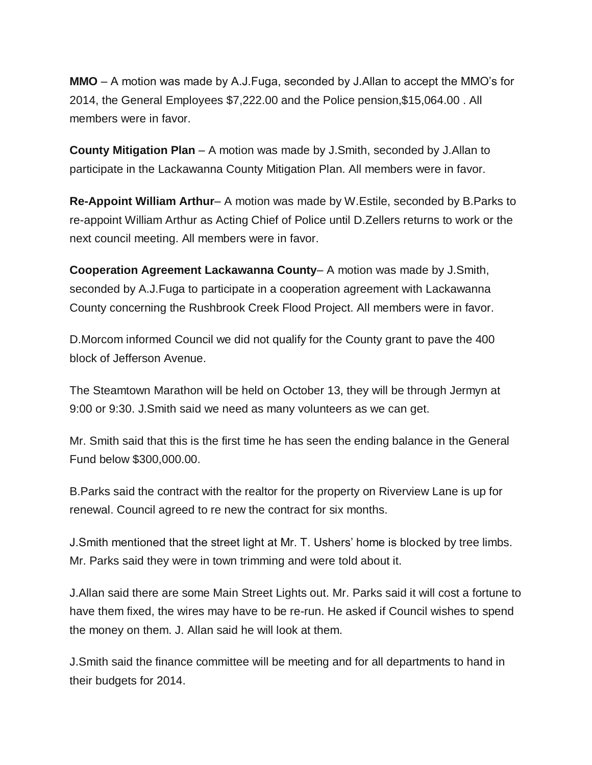**MMO** – A motion was made by A.J.Fuga, seconded by J.Allan to accept the MMO's for 2014, the General Employees \$7,222.00 and the Police pension,\$15,064.00 . All members were in favor.

**County Mitigation Plan** – A motion was made by J.Smith, seconded by J.Allan to participate in the Lackawanna County Mitigation Plan. All members were in favor.

**Re-Appoint William Arthur**– A motion was made by W.Estile, seconded by B.Parks to re-appoint William Arthur as Acting Chief of Police until D.Zellers returns to work or the next council meeting. All members were in favor.

**Cooperation Agreement Lackawanna County**– A motion was made by J.Smith, seconded by A.J.Fuga to participate in a cooperation agreement with Lackawanna County concerning the Rushbrook Creek Flood Project. All members were in favor.

D.Morcom informed Council we did not qualify for the County grant to pave the 400 block of Jefferson Avenue.

The Steamtown Marathon will be held on October 13, they will be through Jermyn at 9:00 or 9:30. J.Smith said we need as many volunteers as we can get.

Mr. Smith said that this is the first time he has seen the ending balance in the General Fund below \$300,000.00.

B.Parks said the contract with the realtor for the property on Riverview Lane is up for renewal. Council agreed to re new the contract for six months.

J.Smith mentioned that the street light at Mr. T. Ushers' home is blocked by tree limbs. Mr. Parks said they were in town trimming and were told about it.

J.Allan said there are some Main Street Lights out. Mr. Parks said it will cost a fortune to have them fixed, the wires may have to be re-run. He asked if Council wishes to spend the money on them. J. Allan said he will look at them.

J.Smith said the finance committee will be meeting and for all departments to hand in their budgets for 2014.